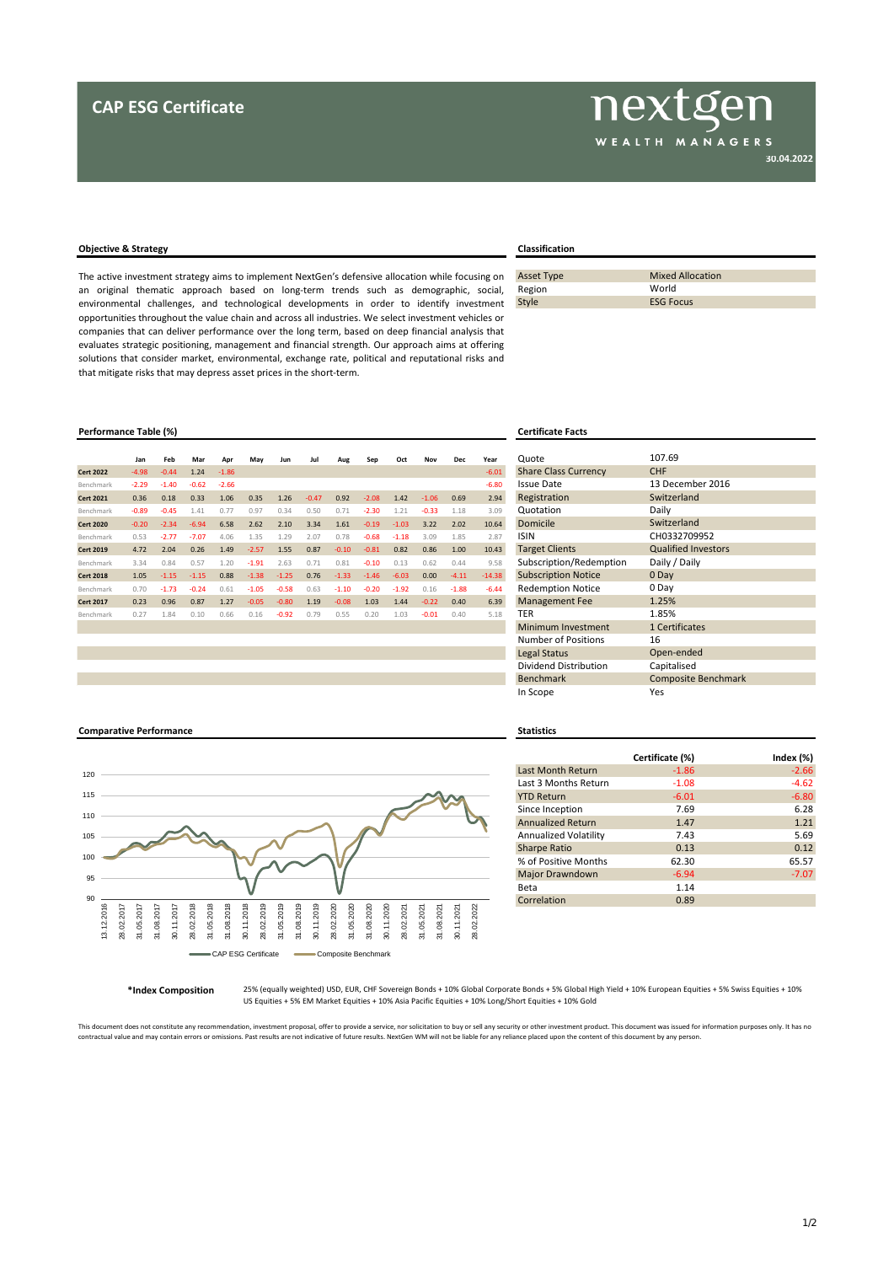## **Objective & Strategy Classification**

The active investment strategy aims to implement NextGen's defensive allocation while focusing on an original thematic approach based on long-term trends such as demographic, social, environmental challenges, and technological developments in order to identify investment opportunities throughout the value chain and across all industries. We select investment vehicles or companies that can deliver performance over the long term, based on deep financial analysis that evaluates strategic positioning, management and financial strength. Our approach aims at offering solutions that consider market, environmental, exchange rate, political and reputational risks and that mitigate risks that may depress asset prices in the short-term.

## **Performance Table (%) Certificate Facts**

|                  | Jan     | Feb     | Mar     | Apr     | May     | Jun     | Jul     | Aug     | Sep     | Oct     | Nov     | <b>Dec</b> | Year     | Quote                       |
|------------------|---------|---------|---------|---------|---------|---------|---------|---------|---------|---------|---------|------------|----------|-----------------------------|
| <b>Cert 2022</b> | $-4.98$ | $-0.44$ | 1.24    | $-1.86$ |         |         |         |         |         |         |         |            | $-6.01$  | <b>Share Class Currency</b> |
| Benchmark        | $-2.29$ | $-1.40$ | $-0.62$ | $-2.66$ |         |         |         |         |         |         |         |            | $-6.80$  | <b>Issue Date</b>           |
| <b>Cert 2021</b> | 0.36    | 0.18    | 0.33    | 1.06    | 0.35    | 1.26    | $-0.47$ | 0.92    | $-2.08$ | 1.42    | $-1.06$ | 0.69       | 2.94     | Registration                |
| Benchmark        | $-0.89$ | $-0.45$ | 1.41    | 0.77    | 0.97    | 0.34    | 0.50    | 0.71    | $-2.30$ | 1.21    | $-0.33$ | 1.18       | 3.09     | Quotation                   |
| <b>Cert 2020</b> | $-0.20$ | $-2.34$ | $-6.94$ | 6.58    | 2.62    | 2.10    | 3.34    | 1.61    | $-0.19$ | $-1.03$ | 3.22    | 2.02       | 10.64    | Domicile                    |
| Benchmark        | 0.53    | $-2.77$ | $-7.07$ | 4.06    | 1.35    | 1.29    | 2.07    | 0.78    | $-0.68$ | $-1.18$ | 3.09    | 1.85       | 2.87     | <b>ISIN</b>                 |
| <b>Cert 2019</b> | 4.72    | 2.04    | 0.26    | 1.49    | $-2.57$ | 1.55    | 0.87    | $-0.10$ | $-0.81$ | 0.82    | 0.86    | 1.00       | 10.43    | <b>Target Clients</b>       |
| Benchmark        | 3.34    | 0.84    | 0.57    | 1.20    | $-1.91$ | 2.63    | 0.71    | 0.81    | $-0.10$ | 0.13    | 0.62    | 0.44       | 9.58     | Subscription/Redemption     |
| <b>Cert 2018</b> | 1.05    | $-1.15$ | $-1.15$ | 0.88    | $-1.38$ | $-1.25$ | 0.76    | $-1.33$ | $-1.46$ | $-6.03$ | 0.00    | $-4.11$    | $-14.38$ | <b>Subscription Notice</b>  |
| Benchmark        | 0.70    | $-1.73$ | $-0.24$ | 0.61    | $-1.05$ | $-0.58$ | 0.63    | $-1.10$ | $-0.20$ | $-1.92$ | 0.16    | $-1.88$    | $-6.44$  | <b>Redemption Notice</b>    |
| <b>Cert 2017</b> | 0.23    | 0.96    | 0.87    | 1.27    | $-0.05$ | $-0.80$ | 1.19    | $-0.08$ | 1.03    | 1.44    | $-0.22$ | 0.40       | 6.39     | <b>Management Fee</b>       |
| Benchmark        | 0.27    | 1.84    | 0.10    | 0.66    | 0.16    | $-0.92$ | 0.79    | 0.55    | 0.20    | 1.03    | $-0.01$ | 0.40       | 5.18     | TER                         |

| <b>Asset Type</b> | <b>Mixed Allocation</b> |
|-------------------|-------------------------|
| Region            | World                   |
| Style             | <b>ESG Focus</b>        |
|                   |                         |

| Quote                       | 107.69                     |
|-----------------------------|----------------------------|
| <b>Share Class Currency</b> | <b>CHF</b>                 |
| <b>Issue Date</b>           | 13 December 2016           |
| Registration                | Switzerland                |
| Quotation                   | Daily                      |
| Domicile                    | Switzerland                |
| <b>ISIN</b>                 | CH0332709952               |
| <b>Target Clients</b>       | <b>Qualified Investors</b> |
| Subscription/Redemption     | Daily / Daily              |
| <b>Subscription Notice</b>  | 0 Day                      |
| <b>Redemption Notice</b>    | 0 Day                      |
| <b>Management Fee</b>       | 1.25%                      |
| <b>TER</b>                  | 1.85%                      |
| Minimum Investment          | 1 Certificates             |
| Number of Positions         | 16                         |
| <b>Legal Status</b>         | Open-ended                 |
| Dividend Distribution       | Capitalised                |
| <b>Benchmark</b>            | <b>Composite Benchmark</b> |
| In Scope                    | Yes                        |

### **Comparative Performance Statistics**



|                          | Certificate (%) | Index $(\%)$ |
|--------------------------|-----------------|--------------|
| <b>Last Month Return</b> | $-1.86$         | $-2.66$      |
| Last 3 Months Return     | $-1.08$         | $-4.62$      |
| <b>YTD Return</b>        | $-6.01$         | $-6.80$      |
| Since Inception          | 7.69            | 6.28         |
| <b>Annualized Return</b> | 1.47            | 1.21         |
| Annualized Volatility    | 7.43            | 5.69         |
| <b>Sharpe Ratio</b>      | 0.13            | 0.12         |
| % of Positive Months     | 62.30           | 65.57        |
| <b>Major Drawndown</b>   | $-6.94$         | $-7.07$      |
| Beta                     | 1.14            |              |
| Correlation              | 0.89            |              |

**\*Index Composition**

25% (equally weighted) USD, EUR, CHF Sovereign Bonds + 10% Global Corporate Bonds + 5% Global High Yield + 10% European Equities + 5% Swiss Equities + 10% US Equities + 5% EM Market Equities + 10% Asia Pacific Equities + 10% Long/Short Equities + 10% Gold

This document does not constitute any recommendation, investment proposal, offer to provide a service, nor solicitation to buy or sell any security or other investment product. This document was issued for information purp